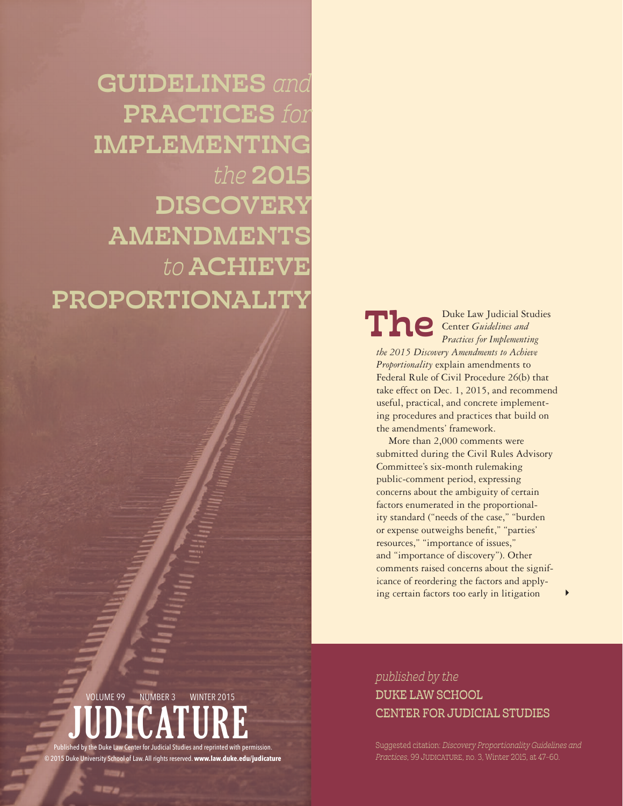**GUIDELINES** and PRACTICES for IMPLEMENTING the 2015 DISCOVERY AMENDMENTS to **ACHIEVE** PROPORTIONALITY

The

JUDICIAL AND A CONTROL CONTROL CONTROL CONTROL CONTROL CONTROL CONTROL CONTROL CONTROL CONTROL CONTROL CONTROL

Center *Guidelines and Practices for Implementing the 2015 Discovery Amendments to Achieve Proportionality* explain amendments to Federal Rule of Civil Procedure 26(b) that take effect on Dec. 1, 2015, and recommend useful, practical, and concrete implementing procedures and practices that build on the amendments' framework.

Duke Law Judicial Studies

More than 2,000 comments were submitted during the Civil Rules Advisory Committee's six-month rulemaking public-comment period, expressing concerns about the ambiguity of certain factors enumerated in the proportionality standard ("needs of the case," "burden or expense outweighs benefit," "parties' resources," "importance of issues," and "importance of discovery"). Other comments raised concerns about the significance of reordering the factors and applying certain factors too early in litigation 4

# JUDICATURE hed by the Duke Law Center for Judicial Studies and reprinted with permission. VOLUME 99 NUMBER 3 WINTER 2015

© 2015 Duke University School of Law. All rights reserved. **www.law.duke.edu/judicature** 

published by the DUKE LAW SCHOOL CENTER FOR JUDICIAL STUDIES

Suggested citation: Discovery Proportionality Guidelines and Practices, 99 JUDICATURE, no. 3, Winter 2015, at 47-60.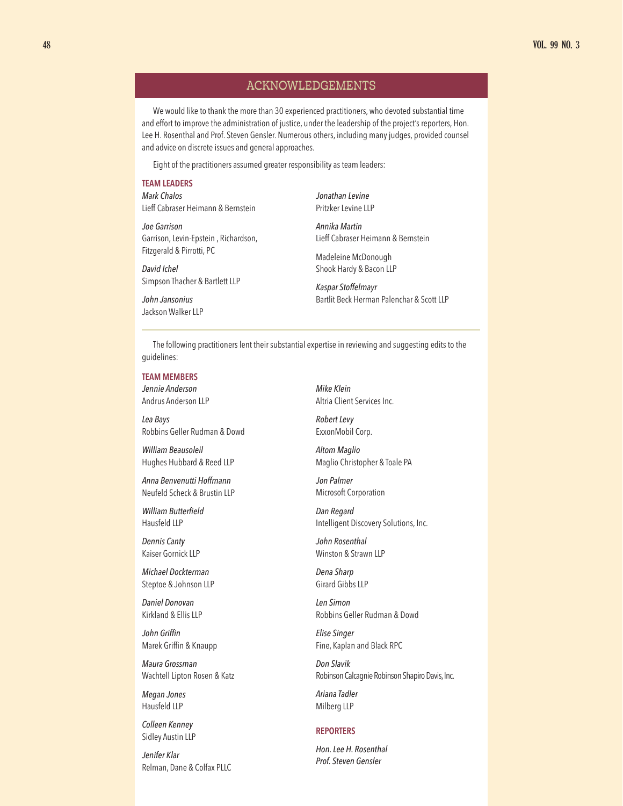# ACKNOWLEDGEMENTS

We would like to thank the more than 30 experienced practitioners, who devoted substantial time and effort to improve the administration of justice, under the leadership of the project's reporters, Hon. Lee H. Rosenthal and Prof. Steven Gensler. Numerous others, including many judges, provided counsel and advice on discrete issues and general approaches.

Eight of the practitioners assumed greater responsibility as team leaders:

#### **TEAM LEADERS**

*Mark Chalos* Lieff Cabraser Heimann & Bernstein

*Joe Garrison* Garrison, Levin-Epstein , Richardson, Fitzgerald & Pirrotti, PC

*David Ichel* Simpson Thacher & Bartlett LLP

*John Jansonius* Jackson Walker LLP *Jonathan Levine* Pritzker Levine LLP

*Annika Martin* Lieff Cabraser Heimann & Bernstein

Madeleine McDonough Shook Hardy & Bacon LLP

*Kaspar Stoffelmayr*  Bartlit Beck Herman Palenchar & Scott LLP

The following practitioners lent their substantial expertise in reviewing and suggesting edits to the guidelines:

### **TEAM MEMBERS**

*Jennie Anderson* Andrus Anderson LLP

*Lea Bays* Robbins Geller Rudman & Dowd

*William Beausoleil* Hughes Hubbard & Reed LLP

*Anna Benvenutti Hoffmann* Neufeld Scheck & Brustin LLP

*William Butterfield* Hausfeld LLP

*Dennis Canty* Kaiser Gornick LLP

*Michael Dockterman* Steptoe & Johnson LLP

*Daniel Donovan* Kirkland & Ellis LLP

*John Griffin* Marek Griffin & Knaupp

*Maura Grossman* Wachtell Lipton Rosen & Katz

*Megan Jones* Hausfeld LLP

*Colleen Kenney* Sidley Austin LLP

*Jenifer Klar* Relman, Dane & Colfax PLLC *Mike Klein* Altria Client Services Inc.

*Robert Levy* ExxonMobil Corp.

*Altom Maglio* Maglio Christopher & Toale PA

*Jon Palmer* Microsoft Corporation

*Dan Regard* Intelligent Discovery Solutions, Inc.

*John Rosenthal* Winston & Strawn LLP

*Dena Sharp* Girard Gibbs LLP

*Len Simon* Robbins Geller Rudman & Dowd

*Elise Singer* Fine, Kaplan and Black RPC

*Don Slavik* Robinson Calcagnie Robinson Shapiro Davis, Inc.

*Ariana Tadler* Milberg LLP

### **REPORTERS**

*Hon. Lee H. Rosenthal Prof. Steven Gensler*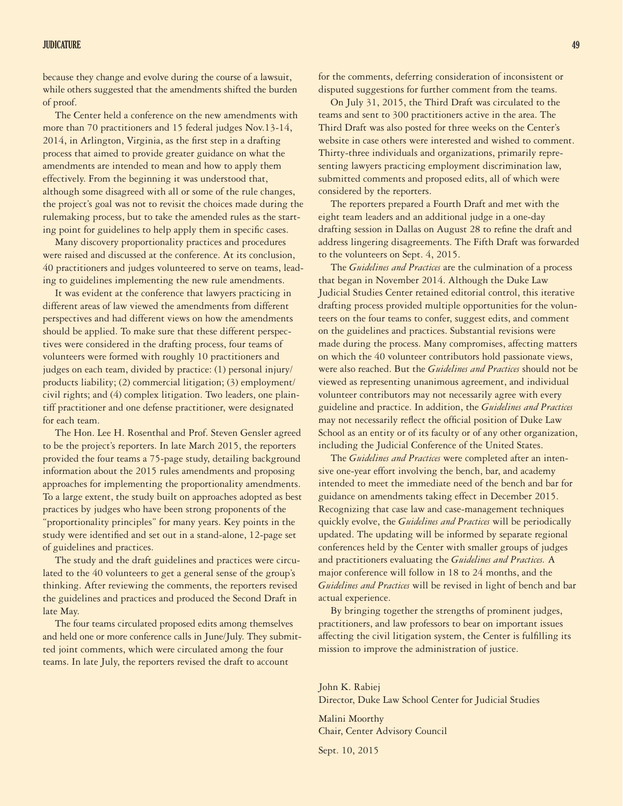### JUDICATURE 49

because they change and evolve during the course of a lawsuit, while others suggested that the amendments shifted the burden of proof.

The Center held a conference on the new amendments with more than 70 practitioners and 15 federal judges Nov.13-14, 2014, in Arlington, Virginia, as the first step in a drafting process that aimed to provide greater guidance on what the amendments are intended to mean and how to apply them effectively. From the beginning it was understood that, although some disagreed with all or some of the rule changes, the project's goal was not to revisit the choices made during the rulemaking process, but to take the amended rules as the starting point for guidelines to help apply them in specific cases.

Many discovery proportionality practices and procedures were raised and discussed at the conference. At its conclusion, 40 practitioners and judges volunteered to serve on teams, leading to guidelines implementing the new rule amendments.

It was evident at the conference that lawyers practicing in different areas of law viewed the amendments from different perspectives and had different views on how the amendments should be applied. To make sure that these different perspectives were considered in the drafting process, four teams of volunteers were formed with roughly 10 practitioners and judges on each team, divided by practice: (1) personal injury/ products liability; (2) commercial litigation; (3) employment/ civil rights; and (4) complex litigation. Two leaders, one plaintiff practitioner and one defense practitioner, were designated for each team.

The Hon. Lee H. Rosenthal and Prof. Steven Gensler agreed to be the project's reporters. In late March 2015, the reporters provided the four teams a 75-page study, detailing background information about the 2015 rules amendments and proposing approaches for implementing the proportionality amendments. To a large extent, the study built on approaches adopted as best practices by judges who have been strong proponents of the "proportionality principles" for many years. Key points in the study were identified and set out in a stand-alone, 12-page set of guidelines and practices.

The study and the draft guidelines and practices were circulated to the 40 volunteers to get a general sense of the group's thinking. After reviewing the comments, the reporters revised the guidelines and practices and produced the Second Draft in late May.

The four teams circulated proposed edits among themselves and held one or more conference calls in June/July. They submitted joint comments, which were circulated among the four teams. In late July, the reporters revised the draft to account

for the comments, deferring consideration of inconsistent or disputed suggestions for further comment from the teams.

On July 31, 2015, the Third Draft was circulated to the teams and sent to 300 practitioners active in the area. The Third Draft was also posted for three weeks on the Center's website in case others were interested and wished to comment. Thirty-three individuals and organizations, primarily representing lawyers practicing employment discrimination law, submitted comments and proposed edits, all of which were considered by the reporters.

The reporters prepared a Fourth Draft and met with the eight team leaders and an additional judge in a one-day drafting session in Dallas on August 28 to refine the draft and address lingering disagreements. The Fifth Draft was forwarded to the volunteers on Sept. 4, 2015.

The *Guidelines and Practices* are the culmination of a process that began in November 2014. Although the Duke Law Judicial Studies Center retained editorial control, this iterative drafting process provided multiple opportunities for the volunteers on the four teams to confer, suggest edits, and comment on the guidelines and practices. Substantial revisions were made during the process. Many compromises, affecting matters on which the 40 volunteer contributors hold passionate views, were also reached. But the *Guidelines and Practices* should not be viewed as representing unanimous agreement, and individual volunteer contributors may not necessarily agree with every guideline and practice. In addition, the *Guidelines and Practices*  may not necessarily reflect the official position of Duke Law School as an entity or of its faculty or of any other organization, including the Judicial Conference of the United States.

The *Guidelines and Practices* were completed after an intensive one-year effort involving the bench, bar, and academy intended to meet the immediate need of the bench and bar for guidance on amendments taking effect in December 2015. Recognizing that case law and case-management techniques quickly evolve, the *Guidelines and Practices* will be periodically updated. The updating will be informed by separate regional conferences held by the Center with smaller groups of judges and practitioners evaluating the *Guidelines and Practices.* A major conference will follow in 18 to 24 months, and the *Guidelines and Practices* will be revised in light of bench and bar actual experience.

By bringing together the strengths of prominent judges, practitioners, and law professors to bear on important issues affecting the civil litigation system, the Center is fulfilling its mission to improve the administration of justice.

John K. Rabiej Director, Duke Law School Center for Judicial Studies

Malini Moorthy Chair, Center Advisory Council

Sept. 10, 2015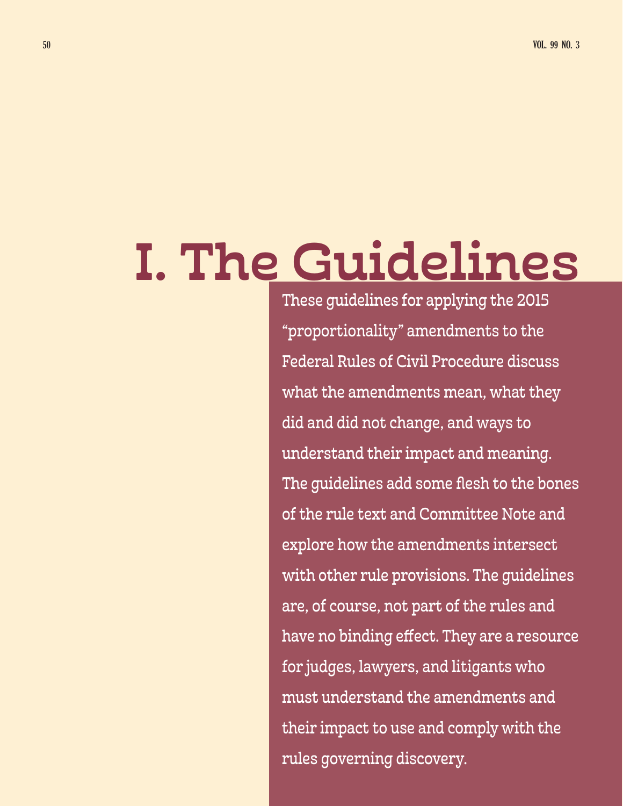# I. The Guidelines

These guidelines for applying the 2015 "proportionality" amendments to the Federal Rules of Civil Procedure discuss what the amendments mean, what they did and did not change, and ways to understand their impact and meaning. The guidelines add some flesh to the bones of the rule text and Committee Note and explore how the amendments intersect with other rule provisions. The guidelines are, of course, not part of the rules and have no binding effect. They are a resource for judges, lawyers, and litigants who must understand the amendments and their impact to use and comply with the rules governing discovery.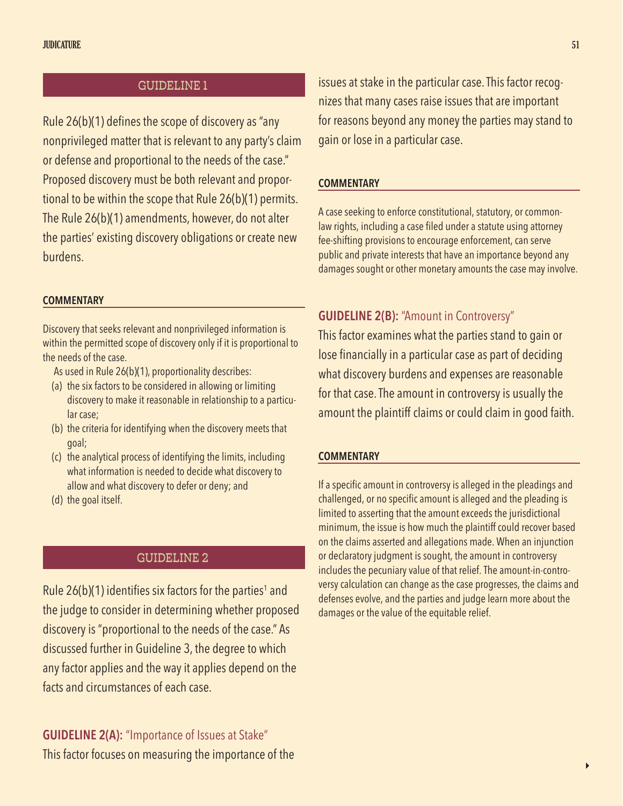# GUIDELINE 1

Rule 26(b)(1) defines the scope of discovery as "any nonprivileged matter that is relevant to any party's claim or defense and proportional to the needs of the case." Proposed discovery must be both relevant and proportional to be within the scope that Rule 26(b)(1) permits. The Rule 26(b)(1) amendments, however, do not alter the parties' existing discovery obligations or create new burdens.

# **COMMENTARY**

Discovery that seeks relevant and nonprivileged information is within the permitted scope of discovery only if it is proportional to the needs of the case.

- As used in Rule 26(b)(1), proportionality describes:
- (a) the six factors to be considered in allowing or limiting discovery to make it reasonable in relationship to a particular case;
- (b) the criteria for identifying when the discovery meets that goal;
- (c) the analytical process of identifying the limits, including what information is needed to decide what discovery to allow and what discovery to defer or deny; and
- (d) the goal itself.

# GUIDELINE 2

Rule 26(b)(1) identifies six factors for the parties $^{\rm 1}$  and the judge to consider in determining whether proposed discovery is "proportional to the needs of the case." As discussed further in Guideline 3, the degree to which any factor applies and the way it applies depend on the facts and circumstances of each case.

**GUIDELINE 2(A):** "Importance of Issues at Stake" This factor focuses on measuring the importance of the

issues at stake in the particular case. This factor recognizes that many cases raise issues that are important for reasons beyond any money the parties may stand to gain or lose in a particular case.

### **COMMENTARY**

A case seeking to enforce constitutional, statutory, or commonlaw rights, including a case filed under a statute using attorney fee-shifting provisions to encourage enforcement, can serve public and private interests that have an importance beyond any damages sought or other monetary amounts the case may involve.

# **GUIDELINE 2(B):** "Amount in Controversy"

This factor examines what the parties stand to gain or lose financially in a particular case as part of deciding what discovery burdens and expenses are reasonable for that case. The amount in controversy is usually the amount the plaintiff claims or could claim in good faith.

# **COMMENTARY**

If a specific amount in controversy is alleged in the pleadings and challenged, or no specific amount is alleged and the pleading is limited to asserting that the amount exceeds the jurisdictional minimum, the issue is how much the plaintiff could recover based on the claims asserted and allegations made. When an injunction or declaratory judgment is sought, the amount in controversy includes the pecuniary value of that relief. The amount-in-controversy calculation can change as the case progresses, the claims and defenses evolve, and the parties and judge learn more about the damages or the value of the equitable relief.

 $\blacktriangleright$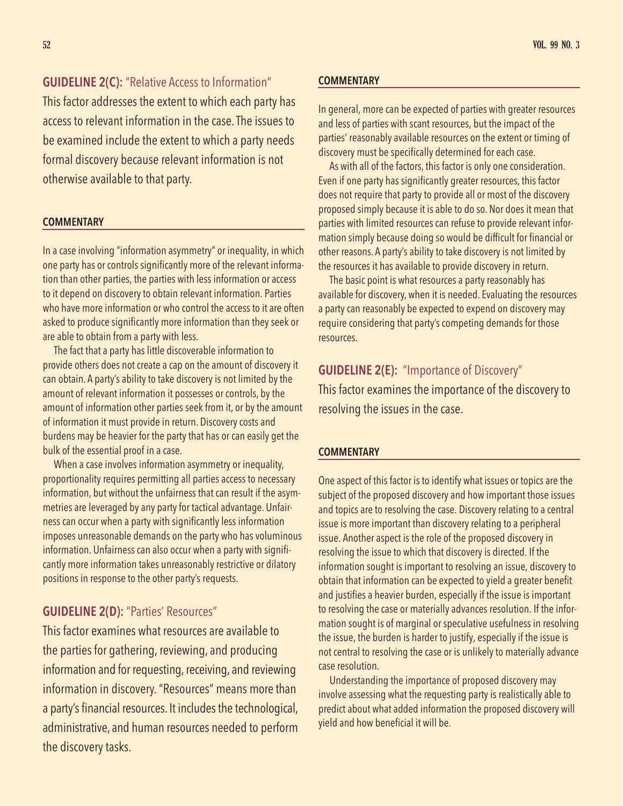**GUIDELINE 2(C):** "Relative Access to Information"

This factor addresses the extent to which each party has access to relevant information in the case. The issues to be examined include the extent to which a party needs formal discovery because relevant information is not otherwise available to that party.

# **COMMENTARY**

In a case involving "information asymmetry" or inequality, in which one party has or controls significantly more of the relevant information than other parties, the parties with less information or access to it depend on discovery to obtain relevant information. Parties who have more information or who control the access to it are often asked to produce significantly more information than they seek or are able to obtain from a party with less.

The fact that a party has little discoverable information to provide others does not create a cap on the amount of discovery it can obtain. A party's ability to take discovery is not limited by the amount of relevant information it possesses or controls, by the amount of information other parties seek from it, or by the amount of information it must provide in return. Discovery costs and burdens may be heavier for the party that has or can easily get the bulk of the essential proof in a case.

When a case involves information asymmetry or inequality, proportionality requires permitting all parties access to necessary information, but without the unfairness that can result if the asymmetries are leveraged by any party for tactical advantage. Unfairness can occur when a party with significantly less information imposes unreasonable demands on the party who has voluminous information. Unfairness can also occur when a party with significantly more information takes unreasonably restrictive or dilatory positions in response to the other party's requests.

# **GUIDELINE 2(D):** "Parties' Resources"

This factor examines what resources are available to the parties for gathering, reviewing, and producing information and for requesting, receiving, and reviewing information in discovery. "Resources" means more than a party's financial resources. It includes the technological, administrative, and human resources needed to perform the discovery tasks.

# **COMMENTARY**

In general, more can be expected of parties with greater resources and less of parties with scant resources, but the impact of the parties' reasonably available resources on the extent or timing of discovery must be specifically determined for each case.

As with all of the factors, this factor is only one consideration. Even if one party has significantly greater resources, this factor does not require that party to provide all or most of the discovery proposed simply because it is able to do so. Nor does it mean that parties with limited resources can refuse to provide relevant information simply because doing so would be difficult for financial or other reasons. A party's ability to take discovery is not limited by the resources it has available to provide discovery in return.

The basic point is what resources a party reasonably has available for discovery, when it is needed. Evaluating the resources a party can reasonably be expected to expend on discovery may require considering that party's competing demands for those resources.

# **GUIDELINE 2(E):** "Importance of Discovery"

This factor examines the importance of the discovery to resolving the issues in the case.

# **COMMENTARY**

One aspect of this factor is to identify what issues or topics are the subject of the proposed discovery and how important those issues and topics are to resolving the case. Discovery relating to a central issue is more important than discovery relating to a peripheral issue. Another aspect is the role of the proposed discovery in resolving the issue to which that discovery is directed. If the information sought is important to resolving an issue, discovery to obtain that information can be expected to yield a greater benefit and justifies a heavier burden, especially if the issue is important to resolving the case or materially advances resolution. If the information sought is of marginal or speculative usefulness in resolving the issue, the burden is harder to justify, especially if the issue is not central to resolving the case or is unlikely to materially advance case resolution.

Understanding the importance of proposed discovery may involve assessing what the requesting party is realistically able to predict about what added information the proposed discovery will yield and how beneficial it will be.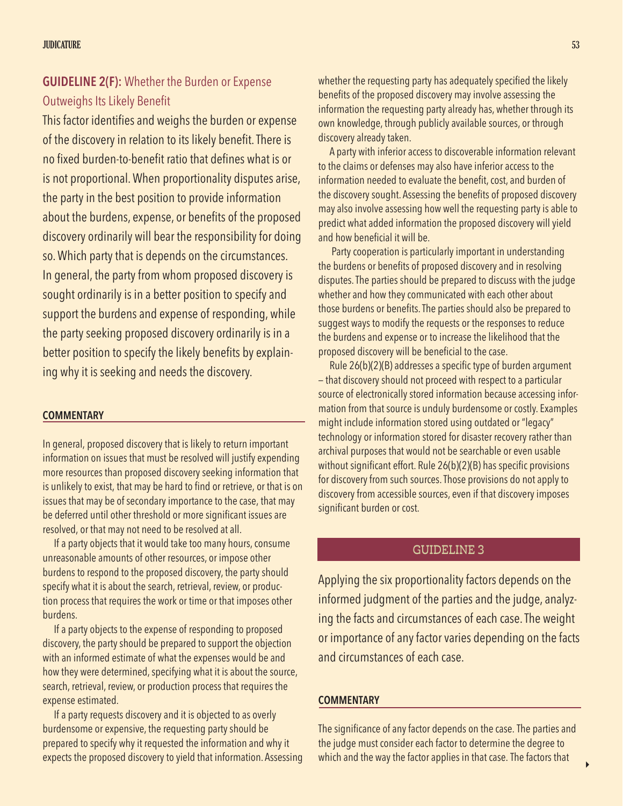# **GUIDELINE 2(F):** Whether the Burden or Expense Outweighs Its Likely Benefit

This factor identifies and weighs the burden or expense of the discovery in relation to its likely benefit. There is no fixed burden-to-benefit ratio that defines what is or is not proportional. When proportionality disputes arise, the party in the best position to provide information about the burdens, expense, or benefits of the proposed discovery ordinarily will bear the responsibility for doing so. Which party that is depends on the circumstances. In general, the party from whom proposed discovery is sought ordinarily is in a better position to specify and support the burdens and expense of responding, while the party seeking proposed discovery ordinarily is in a better position to specify the likely benefits by explaining why it is seeking and needs the discovery.

# **COMMENTARY**

In general, proposed discovery that is likely to return important information on issues that must be resolved will justify expending more resources than proposed discovery seeking information that is unlikely to exist, that may be hard to find or retrieve, or that is on issues that may be of secondary importance to the case, that may be deferred until other threshold or more significant issues are resolved, or that may not need to be resolved at all.

If a party objects that it would take too many hours, consume unreasonable amounts of other resources, or impose other burdens to respond to the proposed discovery, the party should specify what it is about the search, retrieval, review, or production process that requires the work or time or that imposes other burdens.

If a party objects to the expense of responding to proposed discovery, the party should be prepared to support the objection with an informed estimate of what the expenses would be and how they were determined, specifying what it is about the source, search, retrieval, review, or production process that requires the expense estimated.

If a party requests discovery and it is objected to as overly burdensome or expensive, the requesting party should be prepared to specify why it requested the information and why it expects the proposed discovery to yield that information. Assessing whether the requesting party has adequately specified the likely benefits of the proposed discovery may involve assessing the information the requesting party already has, whether through its own knowledge, through publicly available sources, or through discovery already taken.

A party with inferior access to discoverable information relevant to the claims or defenses may also have inferior access to the information needed to evaluate the benefit, cost, and burden of the discovery sought. Assessing the benefits of proposed discovery may also involve assessing how well the requesting party is able to predict what added information the proposed discovery will yield and how beneficial it will be.

 Party cooperation is particularly important in understanding the burdens or benefits of proposed discovery and in resolving disputes. The parties should be prepared to discuss with the judge whether and how they communicated with each other about those burdens or benefits. The parties should also be prepared to suggest ways to modify the requests or the responses to reduce the burdens and expense or to increase the likelihood that the proposed discovery will be beneficial to the case.

Rule 26(b)(2)(B) addresses a specific type of burden argument — that discovery should not proceed with respect to a particular source of electronically stored information because accessing information from that source is unduly burdensome or costly. Examples might include information stored using outdated or "legacy" technology or information stored for disaster recovery rather than archival purposes that would not be searchable or even usable without significant effort. Rule 26(b)(2)(B) has specific provisions for discovery from such sources. Those provisions do not apply to discovery from accessible sources, even if that discovery imposes significant burden or cost.

# GUIDELINE 3

Applying the six proportionality factors depends on the informed judgment of the parties and the judge, analyzing the facts and circumstances of each case. The weight or importance of any factor varies depending on the facts and circumstances of each case.

### **COMMENTARY**

The significance of any factor depends on the case. The parties and the judge must consider each factor to determine the degree to which and the way the factor applies in that case. The factors that

4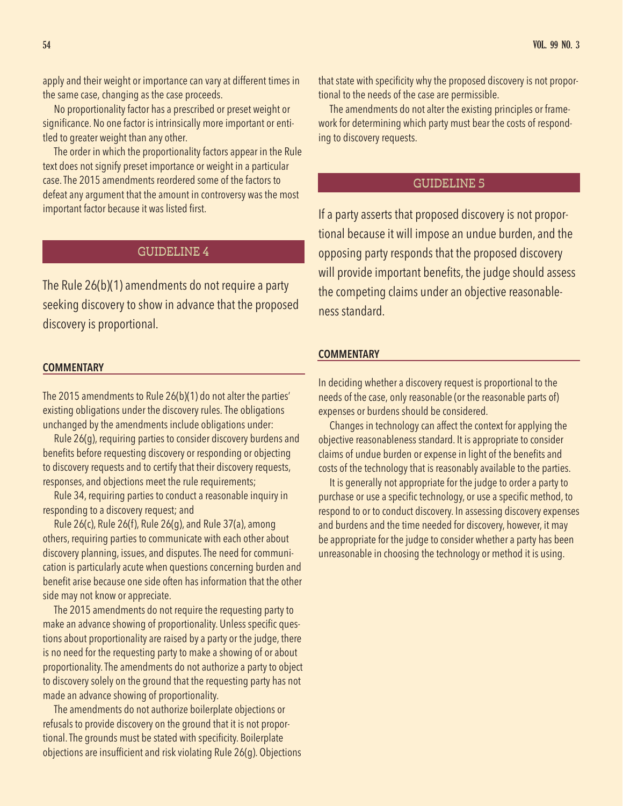apply and their weight or importance can vary at different times in the same case, changing as the case proceeds.

No proportionality factor has a prescribed or preset weight or significance. No one factor is intrinsically more important or entitled to greater weight than any other.

The order in which the proportionality factors appear in the Rule text does not signify preset importance or weight in a particular case. The 2015 amendments reordered some of the factors to defeat any argument that the amount in controversy was the most important factor because it was listed first.

# GUIDELINE 4

The Rule 26(b)(1) amendments do not require a party seeking discovery to show in advance that the proposed discovery is proportional.

### **COMMENTARY**

The 2015 amendments to Rule 26(b)(1) do not alter the parties' existing obligations under the discovery rules. The obligations unchanged by the amendments include obligations under:

Rule 26(g), requiring parties to consider discovery burdens and benefits before requesting discovery or responding or objecting to discovery requests and to certify that their discovery requests, responses, and objections meet the rule requirements;

Rule 34, requiring parties to conduct a reasonable inquiry in responding to a discovery request; and

Rule 26(c), Rule 26(f), Rule 26(g), and Rule 37(a), among others, requiring parties to communicate with each other about discovery planning, issues, and disputes. The need for communication is particularly acute when questions concerning burden and benefit arise because one side often has information that the other side may not know or appreciate.

The 2015 amendments do not require the requesting party to make an advance showing of proportionality. Unless specific questions about proportionality are raised by a party or the judge, there is no need for the requesting party to make a showing of or about proportionality. The amendments do not authorize a party to object to discovery solely on the ground that the requesting party has not made an advance showing of proportionality.

The amendments do not authorize boilerplate objections or refusals to provide discovery on the ground that it is not proportional. The grounds must be stated with specificity. Boilerplate objections are insufficient and risk violating Rule 26(g). Objections that state with specificity why the proposed discovery is not proportional to the needs of the case are permissible.

The amendments do not alter the existing principles or framework for determining which party must bear the costs of responding to discovery requests.

# GUIDELINE 5

If a party asserts that proposed discovery is not proportional because it will impose an undue burden, and the opposing party responds that the proposed discovery will provide important benefits, the judge should assess the competing claims under an objective reasonableness standard.

### **COMMENTARY**

In deciding whether a discovery request is proportional to the needs of the case, only reasonable (or the reasonable parts of) expenses or burdens should be considered.

Changes in technology can affect the context for applying the objective reasonableness standard. It is appropriate to consider claims of undue burden or expense in light of the benefits and costs of the technology that is reasonably available to the parties.

It is generally not appropriate for the judge to order a party to purchase or use a specific technology, or use a specific method, to respond to or to conduct discovery. In assessing discovery expenses and burdens and the time needed for discovery, however, it may be appropriate for the judge to consider whether a party has been unreasonable in choosing the technology or method it is using.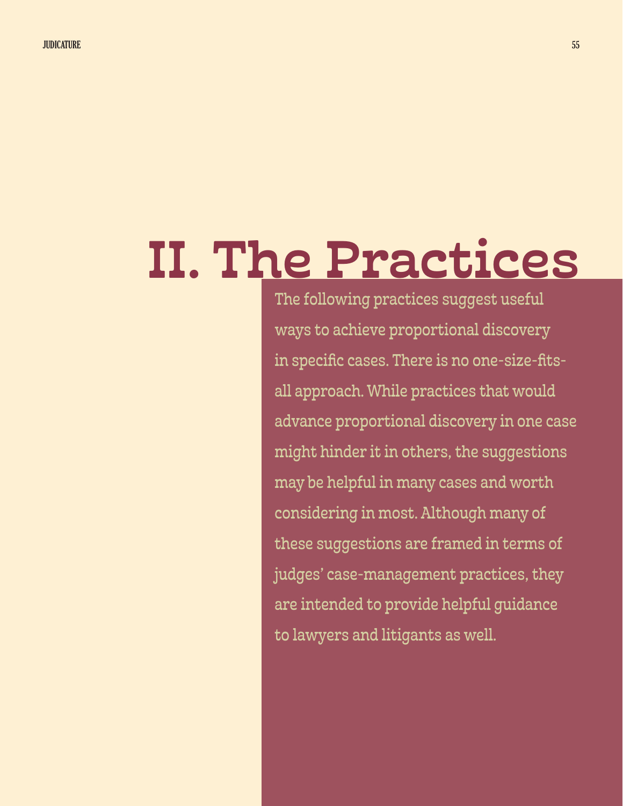# II. The Practices

The following practices suggest useful ways to achieve proportional discovery in specific cases. There is no one-size-fitsall approach. While practices that would advance proportional discovery in one case might hinder it in others, the suggestions may be helpful in many cases and worth considering in most. Although many of these suggestions are framed in terms of judges' case-management practices, they are intended to provide helpful guidance to lawyers and litigants as well.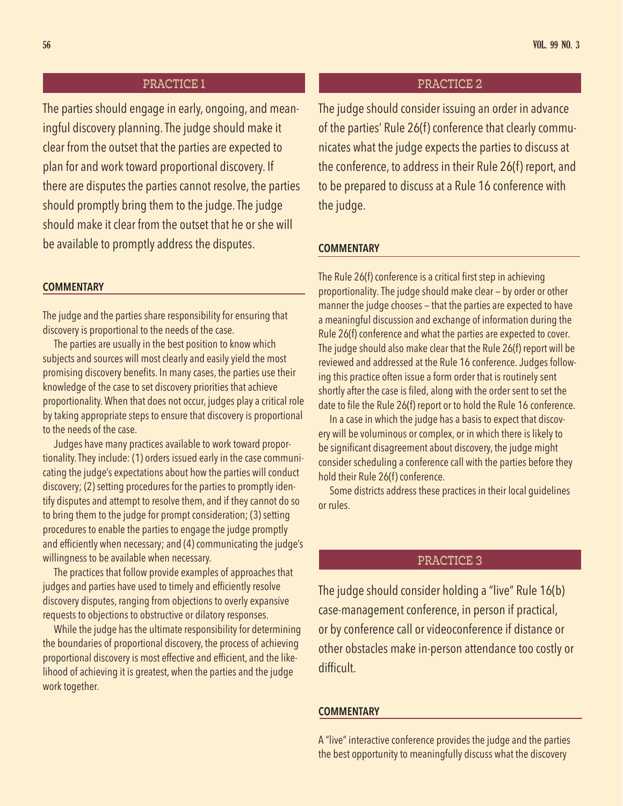# PRACTICE 1 PRACTICE 2

The parties should engage in early, ongoing, and meaningful discovery planning. The judge should make it clear from the outset that the parties are expected to plan for and work toward proportional discovery. If there are disputes the parties cannot resolve, the parties should promptly bring them to the judge. The judge should make it clear from the outset that he or she will be available to promptly address the disputes.

# **COMMENTARY**

The judge and the parties share responsibility for ensuring that discovery is proportional to the needs of the case.

The parties are usually in the best position to know which subjects and sources will most clearly and easily yield the most promising discovery benefits. In many cases, the parties use their knowledge of the case to set discovery priorities that achieve proportionality. When that does not occur, judges play a critical role by taking appropriate steps to ensure that discovery is proportional to the needs of the case.

Judges have many practices available to work toward proportionality. They include: (1) orders issued early in the case communicating the judge's expectations about how the parties will conduct discovery; (2) setting procedures for the parties to promptly identify disputes and attempt to resolve them, and if they cannot do so to bring them to the judge for prompt consideration; (3) setting procedures to enable the parties to engage the judge promptly and efficiently when necessary; and (4) communicating the judge's willingness to be available when necessary.

The practices that follow provide examples of approaches that judges and parties have used to timely and efficiently resolve discovery disputes, ranging from objections to overly expansive requests to objections to obstructive or dilatory responses.

While the judge has the ultimate responsibility for determining the boundaries of proportional discovery, the process of achieving proportional discovery is most effective and efficient, and the likelihood of achieving it is greatest, when the parties and the judge work together.

The judge should consider issuing an order in advance of the parties' Rule 26(f) conference that clearly communicates what the judge expects the parties to discuss at the conference, to address in their Rule 26(f) report, and to be prepared to discuss at a Rule 16 conference with the judge.

### **COMMENTARY**

The Rule 26(f) conference is a critical first step in achieving proportionality. The judge should make clear — by order or other manner the judge chooses — that the parties are expected to have a meaningful discussion and exchange of information during the Rule 26(f) conference and what the parties are expected to cover. The judge should also make clear that the Rule 26(f) report will be reviewed and addressed at the Rule 16 conference. Judges following this practice often issue a form order that is routinely sent shortly after the case is filed, along with the order sent to set the date to file the Rule 26(f) report or to hold the Rule 16 conference.

In a case in which the judge has a basis to expect that discovery will be voluminous or complex, or in which there is likely to be significant disagreement about discovery, the judge might consider scheduling a conference call with the parties before they hold their Rule 26(f) conference.

Some districts address these practices in their local guidelines or rules.

# PRACTICE 3

The judge should consider holding a "live" Rule 16(b) case-management conference, in person if practical, or by conference call or videoconference if distance or other obstacles make in-person attendance too costly or difficult.

# **COMMENTARY**

A "live" interactive conference provides the judge and the parties the best opportunity to meaningfully discuss what the discovery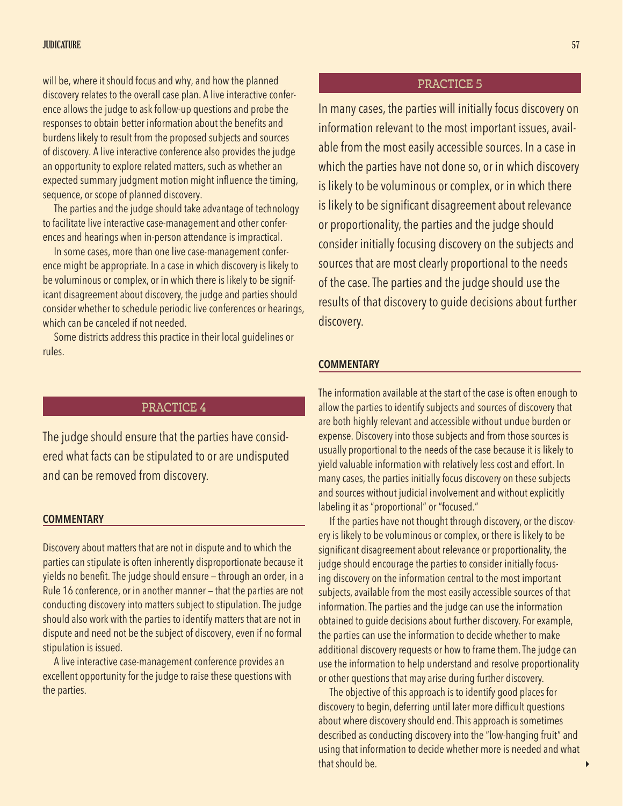### JUDICATURE **1999 - STATISTIC AND STATISTIC CONTRACT**URE 1999 - STATISTIC CONTRACTOR CONTRACTOR CONTRACTOR CONTRACTOR

will be, where it should focus and why, and how the planned discovery relates to the overall case plan. A live interactive conference allows the judge to ask follow-up questions and probe the responses to obtain better information about the benefits and burdens likely to result from the proposed subjects and sources of discovery. A live interactive conference also provides the judge an opportunity to explore related matters, such as whether an expected summary judgment motion might influence the timing, sequence, or scope of planned discovery.

The parties and the judge should take advantage of technology to facilitate live interactive case-management and other conferences and hearings when in-person attendance is impractical.

In some cases, more than one live case-management conference might be appropriate. In a case in which discovery is likely to be voluminous or complex, or in which there is likely to be significant disagreement about discovery, the judge and parties should consider whether to schedule periodic live conferences or hearings, which can be canceled if not needed.

Some districts address this practice in their local guidelines or rules.

# PRACTICE 4

The judge should ensure that the parties have considered what facts can be stipulated to or are undisputed and can be removed from discovery.

### **COMMENTARY**

Discovery about matters that are not in dispute and to which the parties can stipulate is often inherently disproportionate because it yields no benefit. The judge should ensure — through an order, in a Rule 16 conference, or in another manner — that the parties are not conducting discovery into matters subject to stipulation. The judge should also work with the parties to identify matters that are not in dispute and need not be the subject of discovery, even if no formal stipulation is issued.

A live interactive case-management conference provides an excellent opportunity for the judge to raise these questions with the parties.

# PRACTICE 5

In many cases, the parties will initially focus discovery on information relevant to the most important issues, available from the most easily accessible sources. In a case in which the parties have not done so, or in which discovery is likely to be voluminous or complex, or in which there is likely to be significant disagreement about relevance or proportionality, the parties and the judge should consider initially focusing discovery on the subjects and sources that are most clearly proportional to the needs of the case. The parties and the judge should use the results of that discovery to guide decisions about further discovery.

### **COMMENTARY**

The information available at the start of the case is often enough to allow the parties to identify subjects and sources of discovery that are both highly relevant and accessible without undue burden or expense. Discovery into those subjects and from those sources is usually proportional to the needs of the case because it is likely to yield valuable information with relatively less cost and effort. In many cases, the parties initially focus discovery on these subjects and sources without judicial involvement and without explicitly labeling it as "proportional" or "focused."

If the parties have not thought through discovery, or the discovery is likely to be voluminous or complex, or there is likely to be significant disagreement about relevance or proportionality, the judge should encourage the parties to consider initially focusing discovery on the information central to the most important subjects, available from the most easily accessible sources of that information. The parties and the judge can use the information obtained to guide decisions about further discovery. For example, the parties can use the information to decide whether to make additional discovery requests or how to frame them. The judge can use the information to help understand and resolve proportionality or other questions that may arise during further discovery.

The objective of this approach is to identify good places for discovery to begin, deferring until later more difficult questions about where discovery should end. This approach is sometimes described as conducting discovery into the "low-hanging fruit" and using that information to decide whether more is needed and what that should be.

 $\overline{ }$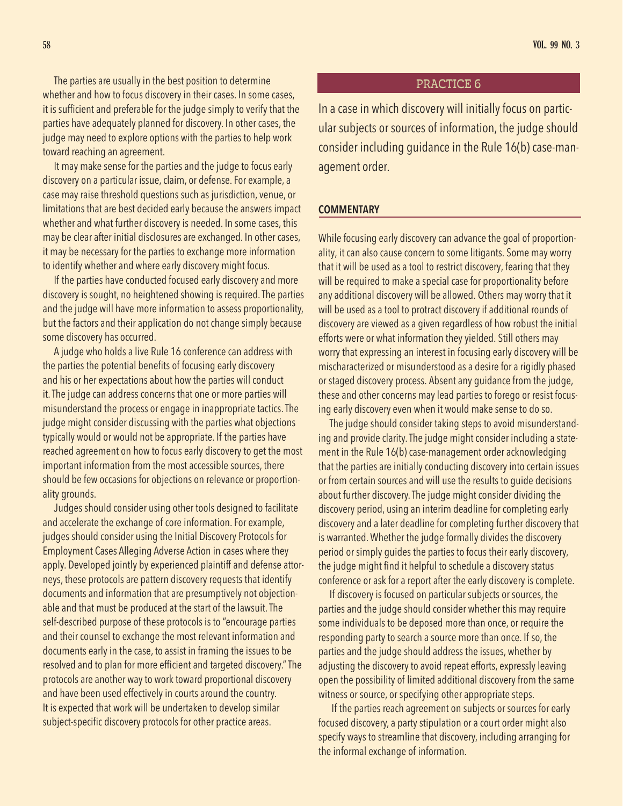The parties are usually in the best position to determine whether and how to focus discovery in their cases. In some cases, it is sufficient and preferable for the judge simply to verify that the parties have adequately planned for discovery. In other cases, the judge may need to explore options with the parties to help work toward reaching an agreement.

It may make sense for the parties and the judge to focus early discovery on a particular issue, claim, or defense. For example, a case may raise threshold questions such as jurisdiction, venue, or limitations that are best decided early because the answers impact whether and what further discovery is needed. In some cases, this may be clear after initial disclosures are exchanged. In other cases, it may be necessary for the parties to exchange more information to identify whether and where early discovery might focus.

If the parties have conducted focused early discovery and more discovery is sought, no heightened showing is required. The parties and the judge will have more information to assess proportionality, but the factors and their application do not change simply because some discovery has occurred.

A judge who holds a live Rule 16 conference can address with the parties the potential benefits of focusing early discovery and his or her expectations about how the parties will conduct it. The judge can address concerns that one or more parties will misunderstand the process or engage in inappropriate tactics. The judge might consider discussing with the parties what objections typically would or would not be appropriate. If the parties have reached agreement on how to focus early discovery to get the most important information from the most accessible sources, there should be few occasions for objections on relevance or proportionality grounds.

Judges should consider using other tools designed to facilitate and accelerate the exchange of core information. For example, judges should consider using the Initial Discovery Protocols for Employment Cases Alleging Adverse Action in cases where they apply. Developed jointly by experienced plaintiff and defense attorneys, these protocols are pattern discovery requests that identify documents and information that are presumptively not objectionable and that must be produced at the start of the lawsuit. The self-described purpose of these protocols is to "encourage parties and their counsel to exchange the most relevant information and documents early in the case, to assist in framing the issues to be resolved and to plan for more efficient and targeted discovery." The protocols are another way to work toward proportional discovery and have been used effectively in courts around the country. It is expected that work will be undertaken to develop similar subject-specific discovery protocols for other practice areas.

# PRACTICE 6

In a case in which discovery will initially focus on particular subjects or sources of information, the judge should consider including guidance in the Rule 16(b) case-management order.

# **COMMENTARY**

While focusing early discovery can advance the goal of proportionality, it can also cause concern to some litigants. Some may worry that it will be used as a tool to restrict discovery, fearing that they will be required to make a special case for proportionality before any additional discovery will be allowed. Others may worry that it will be used as a tool to protract discovery if additional rounds of discovery are viewed as a given regardless of how robust the initial efforts were or what information they yielded. Still others may worry that expressing an interest in focusing early discovery will be mischaracterized or misunderstood as a desire for a rigidly phased or staged discovery process. Absent any guidance from the judge, these and other concerns may lead parties to forego or resist focusing early discovery even when it would make sense to do so.

The judge should consider taking steps to avoid misunderstanding and provide clarity. The judge might consider including a statement in the Rule 16(b) case-management order acknowledging that the parties are initially conducting discovery into certain issues or from certain sources and will use the results to guide decisions about further discovery. The judge might consider dividing the discovery period, using an interim deadline for completing early discovery and a later deadline for completing further discovery that is warranted. Whether the judge formally divides the discovery period or simply guides the parties to focus their early discovery, the judge might find it helpful to schedule a discovery status conference or ask for a report after the early discovery is complete.

If discovery is focused on particular subjects or sources, the parties and the judge should consider whether this may require some individuals to be deposed more than once, or require the responding party to search a source more than once. If so, the parties and the judge should address the issues, whether by adjusting the discovery to avoid repeat efforts, expressly leaving open the possibility of limited additional discovery from the same witness or source, or specifying other appropriate steps.

 If the parties reach agreement on subjects or sources for early focused discovery, a party stipulation or a court order might also specify ways to streamline that discovery, including arranging for the informal exchange of information.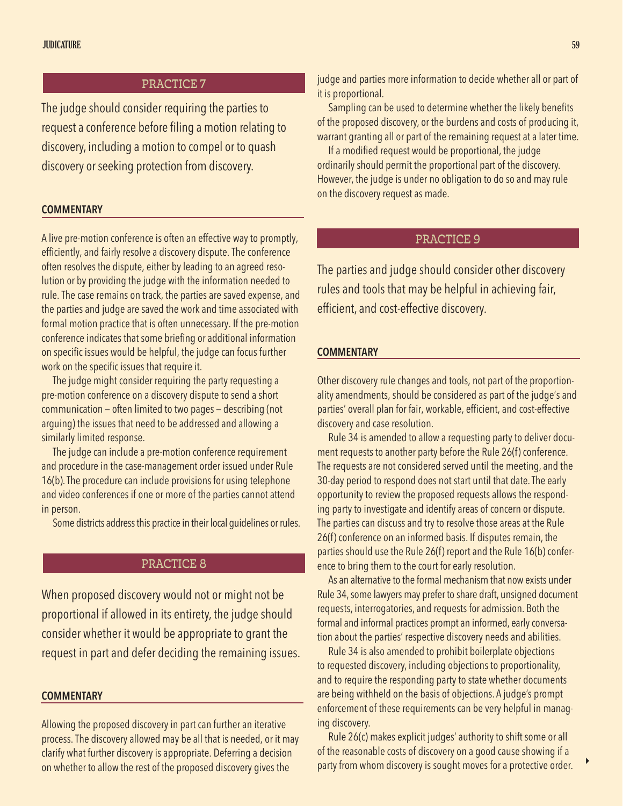# PRACTICE 7

The judge should consider requiring the parties to request a conference before filing a motion relating to discovery, including a motion to compel or to quash discovery or seeking protection from discovery.

### **COMMENTARY**

A live pre-motion conference is often an effective way to promptly, efficiently, and fairly resolve a discovery dispute. The conference often resolves the dispute, either by leading to an agreed resolution or by providing the judge with the information needed to rule. The case remains on track, the parties are saved expense, and the parties and judge are saved the work and time associated with formal motion practice that is often unnecessary. If the pre-motion conference indicates that some briefing or additional information on specific issues would be helpful, the judge can focus further work on the specific issues that require it.

The judge might consider requiring the party requesting a pre-motion conference on a discovery dispute to send a short communication — often limited to two pages — describing (not arguing) the issues that need to be addressed and allowing a similarly limited response.

The judge can include a pre-motion conference requirement and procedure in the case-management order issued under Rule 16(b). The procedure can include provisions for using telephone and video conferences if one or more of the parties cannot attend in person.

Some districts address this practice in their local guidelines or rules.

# PRACTICE 8

When proposed discovery would not or might not be proportional if allowed in its entirety, the judge should consider whether it would be appropriate to grant the request in part and defer deciding the remaining issues.

### **COMMENTARY**

Allowing the proposed discovery in part can further an iterative process. The discovery allowed may be all that is needed, or it may clarify what further discovery is appropriate. Deferring a decision on whether to allow the rest of the proposed discovery gives the

judge and parties more information to decide whether all or part of it is proportional.

Sampling can be used to determine whether the likely benefits of the proposed discovery, or the burdens and costs of producing it, warrant granting all or part of the remaining request at a later time.

If a modified request would be proportional, the judge ordinarily should permit the proportional part of the discovery. However, the judge is under no obligation to do so and may rule on the discovery request as made.

# PRACTICE 9

The parties and judge should consider other discovery rules and tools that may be helpful in achieving fair, efficient, and cost-effective discovery.

# **COMMENTARY**

Other discovery rule changes and tools, not part of the proportionality amendments, should be considered as part of the judge's and parties' overall plan for fair, workable, efficient, and cost-effective discovery and case resolution.

Rule 34 is amended to allow a requesting party to deliver document requests to another party before the Rule 26(f) conference. The requests are not considered served until the meeting, and the 30-day period to respond does not start until that date. The early opportunity to review the proposed requests allows the responding party to investigate and identify areas of concern or dispute. The parties can discuss and try to resolve those areas at the Rule 26(f) conference on an informed basis. If disputes remain, the parties should use the Rule 26(f) report and the Rule 16(b) conference to bring them to the court for early resolution.

As an alternative to the formal mechanism that now exists under Rule 34, some lawyers may prefer to share draft, unsigned document requests, interrogatories, and requests for admission. Both the formal and informal practices prompt an informed, early conversation about the parties' respective discovery needs and abilities.

Rule 34 is also amended to prohibit boilerplate objections to requested discovery, including objections to proportionality, and to require the responding party to state whether documents are being withheld on the basis of objections. A judge's prompt enforcement of these requirements can be very helpful in managing discovery.

Rule 26(c) makes explicit judges' authority to shift some or all of the reasonable costs of discovery on a good cause showing if a party from whom discovery is sought moves for a protective order.

 $\blacktriangleright$